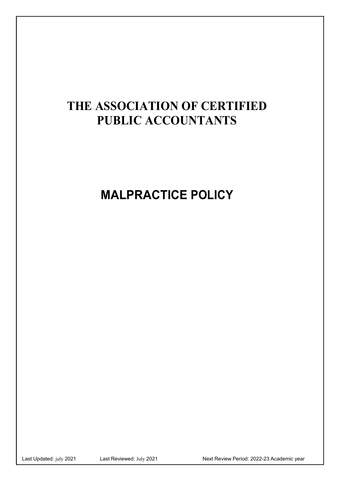## **THE ASSOCIATION OF CERTIFIED PUBLIC ACCOUNTANTS**

# MALPRACTICE POLICY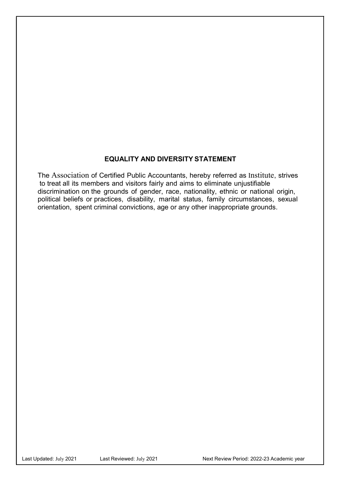#### EQUALITY AND DIVERSITY STATEMENT

The Association of Certified Public Accountants, hereby referred as Institute, strives to treat all its members and visitors fairly and aims to eliminate unjustifiable discrimination on the grounds of gender, race, nationality, ethnic or national origin, political beliefs or practices, disability, marital status, family circumstances, sexual orientation, spent criminal convictions, age or any other inappropriate grounds.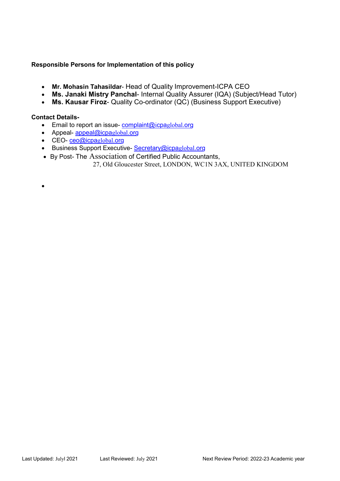#### Responsible Persons for Implementation of this policy

- Mr. Mohasin Tahasildar- Head of Quality Improvement-ICPA CEO
- Ms. Janaki Mistry Panchal- Internal Quality Assurer (IQA) (Subject/Head Tutor)
- Ms. Kausar Firoz- Quality Co-ordinator (QC) (Business Support Executive)

#### Contact Details-

 $\bullet$ 

- $\bullet$  Email to report an issue-complaint@icpaglobal.org
- Appeal- $\frac{appeak(Q)cpaglobal.org}{abq}$
- CEO-ceo@icpaglobal.org
- **Business Support Executive- Secretary@icpaglobal.org**
- By Post- The Association of Certified Public Accountants, 27, Old Gloucester Street, LONDON, WC1N 3AX, UNITED KINGDOM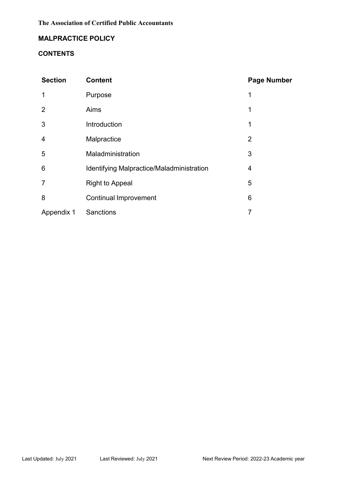## MALPRACTICE POLICY

#### **CONTENTS**

| <b>Section</b> | <b>Content</b>                            | <b>Page Number</b> |
|----------------|-------------------------------------------|--------------------|
| 1              | Purpose                                   | 1                  |
| 2              | Aims                                      | 1                  |
| 3              | Introduction                              | 1                  |
| $\overline{4}$ | Malpractice                               | $\overline{2}$     |
| 5              | Maladministration                         | 3                  |
| 6              | Identifying Malpractice/Maladministration | 4                  |
| $\overline{7}$ | <b>Right to Appeal</b>                    | 5                  |
| 8              | <b>Continual Improvement</b>              | $6\phantom{1}6$    |
| Appendix 1     | <b>Sanctions</b>                          | 7                  |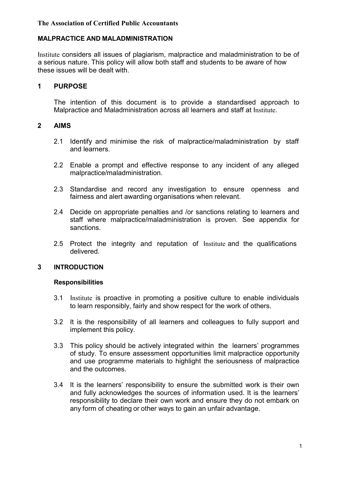#### **The Association of Certified Public Accountants**

#### MALPRACTICE AND MALADMINISTRATION

Institute considers all issues of plagiarism, malpractice and maladministration to be of a serious nature. This policy will allow both staff and students to be aware of how these issues will be dealt with.

#### 1 PURPOSE

The intention of this document is to provide a standardised approach to Malpractice and Maladministration across all learners and staff at Institute.

#### 2 AIMS

- 2.1 Identify and minimise the risk of malpractice/maladministration by staff and learners.
- 2.2 Enable a prompt and effective response to any incident of any alleged malpractice/maladministration.
- 2.3 Standardise and record any investigation to ensure openness and fairness and alert awarding organisations when relevant.
- 2.4 Decide on appropriate penalties and /or sanctions relating to learners and staff where malpractice/maladministration is proven. See appendix for sanctions.
- delivered. 2.5 Protect the integrity and reputation of Institute and the qualifications

#### 3 INTRODUCTION

#### Responsibilities

- 3.1 Institute is proactive in promoting a positive culture to enable individuals to learn responsibly, fairly and show respect for the work of others.
- 3.2 It is the responsibility of all learners and colleagues to fully support and implement this policy.
- 3.3 This policy should be actively integrated within the learners' programmes of study. To ensure assessment opportunities limit malpractice opportunity and use programme materials to highlight the seriousness of malpractice and the outcomes.
- 3.4 It is the learners' responsibility to ensure the submitted work is their own and fully acknowledges the sources of information used. It is the learners' responsibility to declare their own work and ensure they do not embark on any form of cheating or other ways to gain an unfair advantage.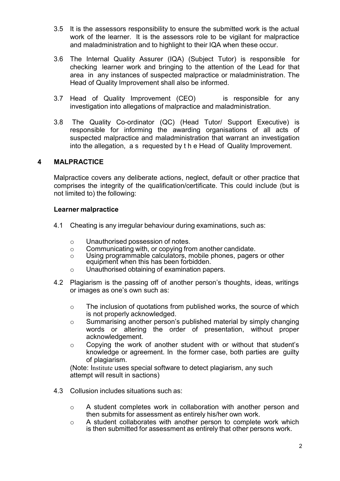- 3.5 It is the assessors responsibility to ensure the submitted work is the actual work of the learner. It is the assessors role to be vigilant for malpractice and maladministration and to highlight to their IQA when these occur.
- 3.6 The Internal Quality Assurer (IQA) (Subject Tutor) is responsible for checking learner work and bringing to the attention of the Lead for that area in any instances of suspected malpractice or maladministration. The Head of Quality Improvement shall also be informed. 1.5 It is the assessors responsibility to ensure the submitted work is the actual<br>work of the learner. It is the assessors role to be vigilant for malpractice<br>and maladministration and to highlight to their IQA when these
- investigation into allegations of malpractice and maladministration. 3.7 Head of Quality Improvement (CEO) is responsible for any
- responsible for informing the awarding organisations of all acts of suspected malpractice and maladministration that warrant an investigation into the allegation, a s requested by t h e Head of Quality Improvement.

#### 4 MALPRACTICE

Malpractice covers any deliberate actions, neglect, default or other practice that comprises the integrity of the qualification/certificate. This could include (but is not limited to) the following:

#### Learner malpractice

- 4.1 Cheating is any irregular behaviour during examinations, such as:
	- o Unauthorised possession of notes.
	- o Communicating with, or copying from another candidate.
	- o Using programmable calculators, mobile phones, pagers or other equipment when this has been forbidden.
	- o Unauthorised obtaining of examination papers.
- 4.2 Plagiarism is the passing off of another person's thoughts, ideas, writings or images as one's own such as:
	- o The inclusion of quotations from published works, the source of which is not properly acknowledged.
	- o Summarising another person's published material by simply changing words or altering the order of presentation, without proper acknowledgement.
	- o Copying the work of another student with or without that student's knowledge or agreement. In the former case, both parties are guilty of plagiarism.

(Note: Institute uses special software to detect plagiarism, any such attempt will result in sactions)

- 4.3 Collusion includes situations such as:
	- o A student completes work in collaboration with another person and then submits for assessment as entirely his/her own work.
	- $\circ$  A student collaborates with another person to complete work which is then submitted for assessment as entirely that other persons work.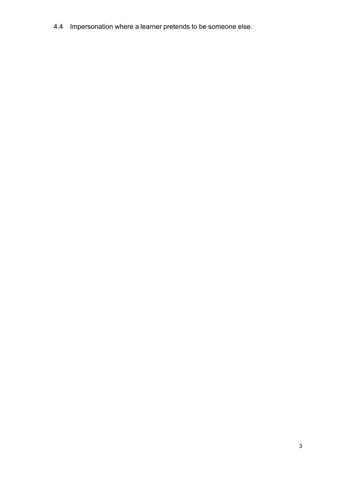4.4 Impersonation where a learner pretends to be someone else.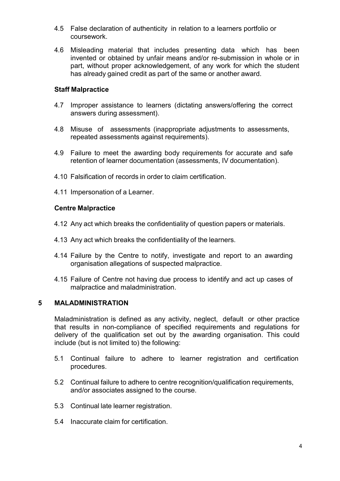- 4.5 False declaration of authenticity in relation to a learners portfolio or coursework.
- 4.6 Misleading material that includes presenting data which has been invented or obtained by unfair means and/or re-submission in whole or in part, without proper acknowledgement, of any work for which the student has already gained credit as part of the same or another award.

#### Staff Malpractice

- 4.7 Improper assistance to learners (dictating answers/offering the correct answers during assessment).
- 4.8 Misuse of assessments (inappropriate adjustments to assessments, repeated assessments against requirements).
- 4.9 Failure to meet the awarding body requirements for accurate and safe retention of learner documentation (assessments, IV documentation).
- 4.10 Falsification of records in order to claim certification.
- 4.11 Impersonation of a Learner.

#### Centre Malpractice

- 4.12 Any act which breaks the confidentiality of question papers or materials.
- 4.13 Any act which breaks the confidentiality of the learners.
- 4.14 Failure by the Centre to notify, investigate and report to an awarding organisation allegations of suspected malpractice.
- 4.15 Failure of Centre not having due process to identify and act up cases of malpractice and maladministration.

#### 5 MALADMINISTRATION

Maladministration is defined as any activity, neglect, default or other practice that results in non-compliance of specified requirements and regulations for delivery of the qualification set out by the awarding organisation. This could include (but is not limited to) the following:

- 5.1 Continual failure to adhere to learner registration and certification procedures.
- 5.2 Continual failure to adhere to centre recognition/qualification requirements, and/or associates assigned to the course.
- 5.3 Continual late learner registration.
- 5.4 Inaccurate claim for certification.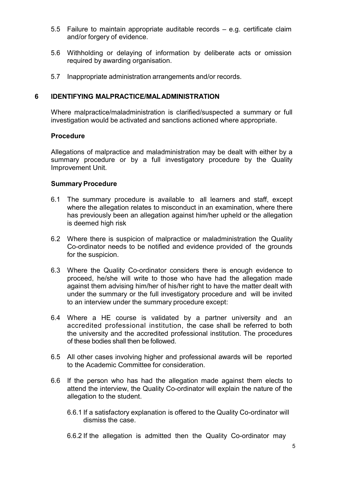- 5.5 Failure to maintain appropriate auditable records e.g. certificate claim and/or forgery of evidence.
- 5.6 Withholding or delaying of information by deliberate acts or omission required by awarding organisation.
- 5.7 Inappropriate administration arrangements and/or records.

#### 6 IDENTIFYING MALPRACTICE/MAL ADMINISTRATION

Where malpractice/maladministration is clarified/suspected a summary or full investigation would be activated and sanctions actioned where appropriate.

#### Procedure

Allegations of malpractice and maladministration may be dealt with either by a summary procedure or by a full investigatory procedure by the Quality Improvement Unit.

#### Summary Procedure

- 6.1 The summary procedure is available to all learners and staff, except where the allegation relates to misconduct in an examination, where there has previously been an allegation against him/her upheld or the allegation is deemed high risk
- 6.2 Where there is suspicion of malpractice or maladministration the Quality Co-ordinator needs to be notified and evidence provided of the grounds for the suspicion.
- 6.3 Where the Quality Co-ordinator considers there is enough evidence to proceed, he/she will write to those who have had the allegation made against them advising him/her of his/her right to have the matter dealt with under the summary or the full investigatory procedure and will be invited to an interview under the summary procedure except:
- 6.4 Where a HE course is validated by a partner university and an accredited professional institution, the case shall be referred to both the university and the accredited professional institution. The procedures of these bodies shall then be followed.
- 6.5 All other cases involving higher and professional awards will be reported to the Academic Committee for consideration.
- 6.6 If the person who has had the allegation made against them elects to attend the interview, the Quality Co-ordinator will explain the nature of the allegation to the student.
	- 6.6.1 If a satisfactory explanation is offered to the Quality Co-ordinator will dismiss the case.
	- 6.6.2 If the allegation is admitted then the Quality Co-ordinator may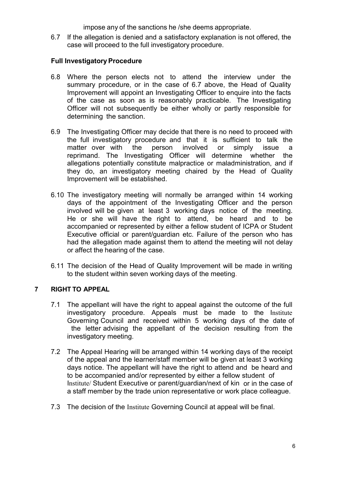impose any of the sanctions he /she deems appropriate.

6.7 If the allegation is denied and a satisfactory explanation is not offered, the case will proceed to the full investigatory procedure.

#### Full Investigatory Procedure

- 6.8 Where the person elects not to attend the interview under the summary procedure, or in the case of 6.7 above, the Head of Quality Improvement will appoint an Investigating Officer to enquire into the facts of the case as soon as is reasonably practicable. The Investigating Officer will not subsequently be either wholly or partly responsible for determining the sanction.
- 6.9 The Investigating Officer may decide that there is no need to proceed with the full investigatory procedure and that it is sufficient to talk the matter over with the person involved or simply issue a reprimand. The Investigating Officer will determine whether the allegations potentially constitute malpractice or maladministration, and if they do, an investigatory meeting chaired by the Head of Quality Improvement will be established.
- 6.10 The investigatory meeting will normally be arranged within 14 working days of the appointment of the Investigating Officer and the person involved will be given at least 3 working days notice of the meeting. He or she will have the right to attend, be heard and to be accompanied or represented by either a fellow student of ICPA or Student Executive official or parent/guardian etc. Failure of the person who has had the allegation made against them to attend the meeting will not delay or affect the hearing of the case.
- 6.11 The decision of the Head of Quality Improvement will be made in writing to the student within seven working days of the meeting.

## 7 RIGHT TO APPEAL

- 7.1 The appellant will have the right to appeal against the outcome of the full investigatory procedure. Appeals must be made to the Institute Governing Council and received within 5 working days of the date of the letter advising the appellant of the decision resulting from the investigatory meeting.
- 7.2 The Appeal Hearing will be arranged within 14 working days of the receipt Institute/ Student Executive or parent/guardian/next of kin or in the case of a staff member by the trade union representative or work place colleague. of the appeal and the learner/staff member will be given at least 3 working days notice. The appellant will have the right to attend and be heard and to be accompanied and/or represented by either a fellow student of
- 7.3 The decision of the Institute Governing Council at appeal will be final.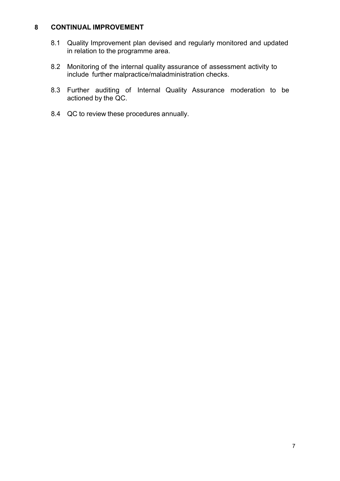#### 8 CONTINUAL IMPROVEMENT

- 8.1 Quality Improvement plan devised and regularly monitored and updated in relation to the programme area.
- 8.2 Monitoring of the internal quality assurance of assessment activity to include further malpractice/maladministration checks.
- 8.3 Further auditing of Internal Quality Assurance moderation to be actioned by the QC.
- 8.4 QC to review these procedures annually.